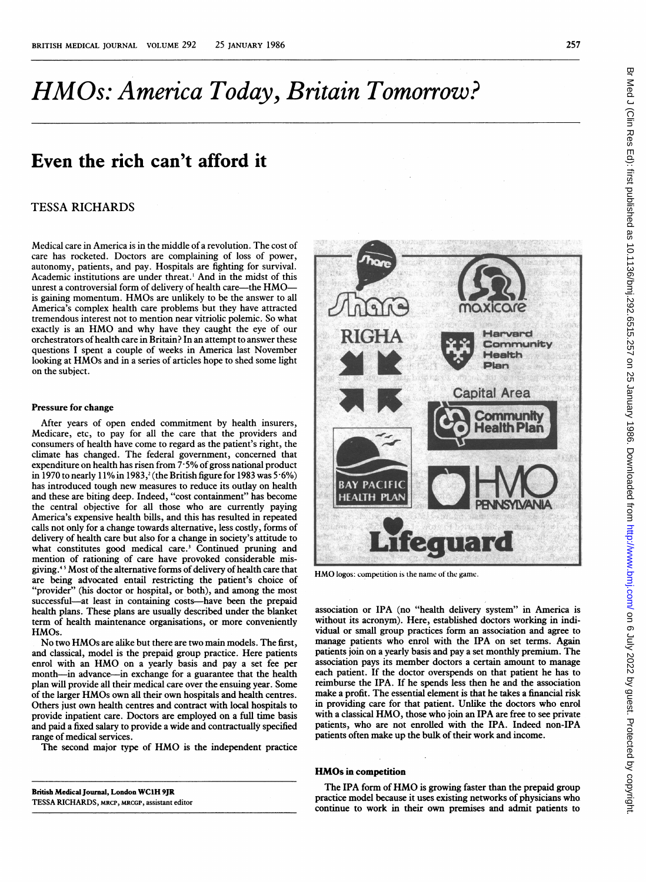# HMOs: America Today, Britain Tomorrow?

# Even the rich can't afford it

### TESSA RICHARDS

Medical care in America is in the middle of a revolution. The cost of care has rocketed. Doctors are complaining of loss of power, autonomy, patients, and pay. Hospitals are fighting for survival. Academic institutions are under threat.' And in the midst of this unrest a controversial form of delivery of health care-the HMOis gaining momentum. HMOs are unlikely to be the answer to all America's complex health care problems but they have attracted tremendous interest not to mention near vitriolic polemic. So what exactly is an HMO and why have they caught the eye of our orchestrators of health care in Britain? In an attempt to answer these questions <sup>I</sup> spent a couple of weeks in America last November looking at HMOs and in <sup>a</sup> series of articles hope to shed some light on the subject.

#### Pressure for change

After years of open ended commitment by health insurers, Medicare, etc, to pay for all the care that the providers and consumers of health have come to regard as the patient's right, the climate has changed. The federal government, concerned that expenditure on health has risen from  $7.5\%$  of gross national product in 1970 to nearly 11% in 1983,<sup>2</sup> (the British figure for 1983 was  $5.6\%$ ) has introduced tough new measures to reduce its outlay on health and these are biting deep. Indeed, "cost containment" has become the central objective for all those who are currently paying America's expensive health bills, and this has resulted in repeated calls not only for a change towards alternative, less costly, forms of delivery of health care but also for a change in society's attitude to what constitutes good medical care.<sup>3</sup> Continued pruning and mention of rationing of care have provoked considerable misgiving.4'5 Most of the alternative forms of delivery of health care that are being advocated entail restricting the patient's choice of "provider" (his doctor or hospital, or both), and among the most successful-at least in containing costs-have been the prepaid health plans. These plans are usually described under the blanket term of health maintenance organisations, or more conveniently HMOs.

No two HMOs are alike but there are two main models. The first, and classical, model is the prepaid group practice. Here patients enrol with an HMO on <sup>a</sup> yearly basis and pay <sup>a</sup> set fee per month-in advance-in exchange for a guarantee that the health plan will provide all their medical care over the ensuing year. Some of the larger HMOs own all their own hospitals and health centres. Others just own health centres and contract with local hospitals to provide inpatient care. Doctors are employed on a full time basis and paid a fixed salary to provide a wide and contractually specified range of medical services.

The second major type of HMO is the independent practice

British Medical Journal, London WC1H 9JR TESSA RICHARDS, MRCP, MRCGP, assistant editor



HMO logos: competition is the name of the game.

association or IPA (no "health delivery system" in America is without its acronym). Here, established doctors working in individual or small group practices form an association and agree to manage patients who enrol with the IPA on set terms. Again patients join on a yearly basis and pay a set monthly premium. The association pays its member doctors a certain amount to manage each patient. If the doctor overspends on that patient he has to reimburse the IPA. If he spends less then he and the association make a profit. The essential element is that he takes a financial risk in providing care for that patient. Unlike the doctors who enrol with <sup>a</sup> classical HMO, those who join an IPA are free to see private patients, who are not enrolled with the IPA. Indeed non-IPA patients often make up the bulk of their work and income.

#### HMOs in competition

The IPA form of HMO is growing faster than the prepaid group practice model because it uses existing networks of physicians who continue to work in their own premises and admit patients to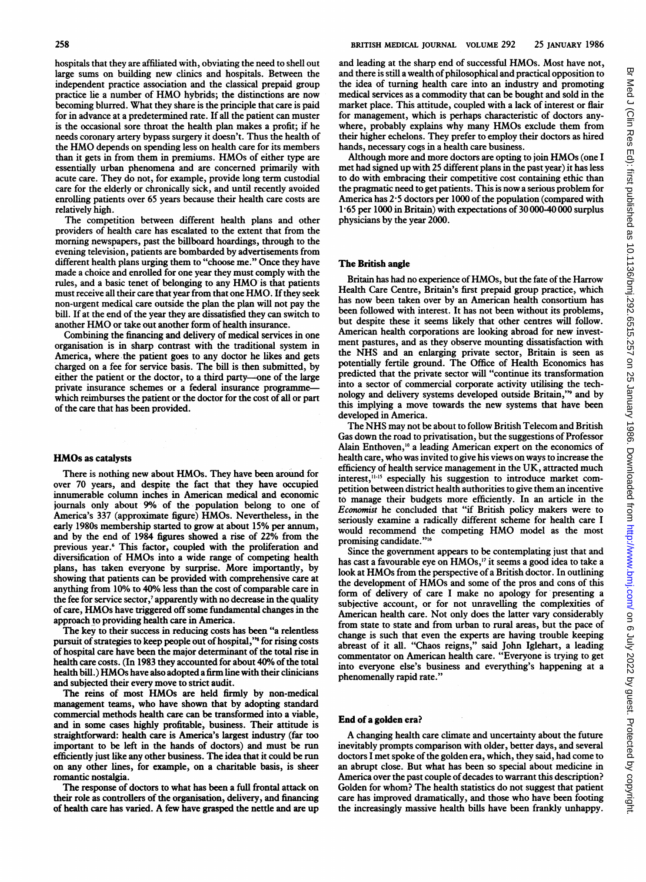hospitals that they are affiliated with, obviating the need to shell out large sums on building new clinics and hospitals. 'Between the independent practice association and the classical prepaid group practice lie <sup>a</sup> number of HMO hybrids; the distinctions are now becoming blurred. What they share is the principle that care is paid for in advance at a predetermined rate. If all the patient can muster is the occasional sore throat the health plan makes a profit; if he needs coronary artery bypass surgery it doesn't. Thus the health of the HMO depends on spending less on health care for its members than it gets in from them in premiums. HMOs of either type are essentially urban phenomena and are concerned primarily with acute care. They do not, for example, provide long term custodial care for the elderly or chronically sick, and until recently avoided enrolling patients over 65 years because their health care costs are relatively high.

The competition between different health plans and other providers of health care has escalated to the extent that from the morning newspapers, past the billboard hoardings, through to the evening television, patients are bombarded by advertisements from different health plans urging them to "choose me." Once they have made a choice and enrolled for one year they must comply with the rules, and <sup>a</sup> basic tenet of belonging to any HMO is that patients must receive all their care that year from that one HMO. If they seek non-urgent medical care outside the plan the plan will not pay the bill. If at the end of the year they are dissatisfied they can switch to another HMO or take out another form of health insurance.

Combining the financing and delivery of medical services in one organisation is in sharp contrast with the traditional system in America, where the patient goes to any doctor he likes and gets charged on a fee for service basis. The bill is then submitted, by either the patient or the doctor, to a third party-one of the large private insurance schemes or a federal insurance programmewhich reimburses the patient or the doctor for the cost of all or part of the care that has been provided.

#### HMOs as catalysts

There is nothing new about HMOs. They have been around for over 70 years, and despite the fact that they have occupied innumerable column inches in American medical and economic journals only about 9% of the population belong to one of America's 337 (approximate figure) HMOs. Nevertheless, in the early 1980s membership started to grow at about 15% per annum, and by the end of 1984 figures showed a rise of 22% from the previous year.6 This factor, coupled with the proliferation and diversification of HMOs into <sup>a</sup> wide range of competing health plans, has taken everyone by surprise. More importantly, by showing that patients can be provided with comprehensive care at anything from 10% to 40% less than the cost of comparable care in the fee for service sector,<sup>7</sup> apparently with no decrease in the quality of care, HMOs have triggered off some fundamental changes in the approach to providing health care in America.

The key to their success in reducing costs has been "a relentless pursuit of strategies to keep people out of hospital,"" for rising costs of hospital care have been the major determinant of the total rise in health care costs. (In 1983 they accounted for about 40% of the total health bill.) HMOs have also adopted <sup>a</sup>firm line with their clinicians and subjected their every move to strict audit.

The reins of most HMOs are held firmly by non-medical management teams, who have shown that by adopting standard commercial methods health care can be transformed into a viable, and in some cases highly profitable, business. Their attitude is straightforward: health care is America's largest industry (far too important to be left in the hands of doctors) and must be run efficiently just like any other business. The idea that it could be run on any other lines, for example, on a charitable basis, is sheer romantic nostalgia.

The response of doctors to what has been a full frontal attack on their role as controllers of the organisation, delivery, and financing of health care has varied. A few have grasped the nettle and are up and leading at the sharp end of successful HMOs. Most have not, and there is still a wealth of philosophical and practical opposition to the idea of turning health care into an industry and promoting medical services as a commodity that can be bought and sold in the market place. This attitude, coupled with a lack of interest or flair for management, which is perhaps characteristic of doctors anywhere, probably explains why many HMOs exclude them from their higher echelons. They prefer to employ their doctors as hired hands, necessary cogs in a health care business.

Although more and more doctors are opting to join HMOs (one <sup>I</sup> met had signed up with 25 different plans in the past year) it has less to do with embracing their competitive cost containing ethic than the pragmatic need to get patients. This is now a serious problem for America has 2-5 doctors per 1000 of the population (compared with 1.65 per 1000 in Britain) with expectations of 30 000-40 000 surplus physicians by the year 2000.

#### The British angle

Britain has had no experience of HMOs, but the fate of the Harrow Health Care Centre, Britain's first prepaid group practice, which has now been taken over by an American health consortium has been followed with interest. It has not been without its problems, but despite these it seems likely that other centres will follow. American health corporations are looking abroad for new investment pastures, and as they observe mounting dissatisfaction with the NHS and an enlarging private sector, Britain is seen as potentially fertile ground. The Office of Health Economics has predicted that the private sector will "continue its transformation into a sector of commercial corporate activity utilising the technology and delivery systems developed outside Britain,"' and by this implying <sup>a</sup> move towards the new systems that have been developed in America.

The NHS may not be about to follow British Telecom and British Gas down the road to privatization, but the suggestions of Professor Alain Enthoven,"° a leading American expert on the economics of health care, who was invited to give his views on ways to increase the efficiency of health service management in the UK, attracted much interest,<sup>11-15</sup> especially his suggestion to introduce market competition between district health authorities to give them an incentive to manage their budgets more efficiently. In an article in the Economist he concluded that "if British policy makers were to seriously examine <sup>a</sup> radically different scheme for health care <sup>I</sup> would recommend the competing HMO model as the most promising candidate."<sup>16</sup>

Since the government appears to be contemplating just that and has cast a favourable eye on HMOs,<sup>17</sup> it seems a good idea to take a look at HMOs from the perspective of <sup>a</sup> British doctor. In outlining the development of HMOs and some of the pros and cons of this form of delivery of care <sup>I</sup> make no apology for presenting <sup>a</sup> subjective account, or for not unravelling the complexities of American health care. Not only does the latter vary considerably from state to state and from urban to rural areas, but the pace of change is such that even the experts are having trouble keeping abreast of it all. "Chaos reigns," said John Iglehart, a leading commentator on American health care. "Everyone is trying to get into everyone else's business and everything's happening at <sup>a</sup> phenomenally rapid rate."

#### End of a golden era?

A changing health care climate and uncertainty about the future inevitably prompts comparison with older, better days, and several doctors <sup>I</sup> met spoke of the golden era, which, they said, had come to an abrupt close. But what has been so special about medicine in America over the past couple of decades to warrant this description? Golden for whom? The health statistics do not suggest that patient care has improved dramatically, and those who have been footing the increasingly massive health bills have been frankly unhappy.